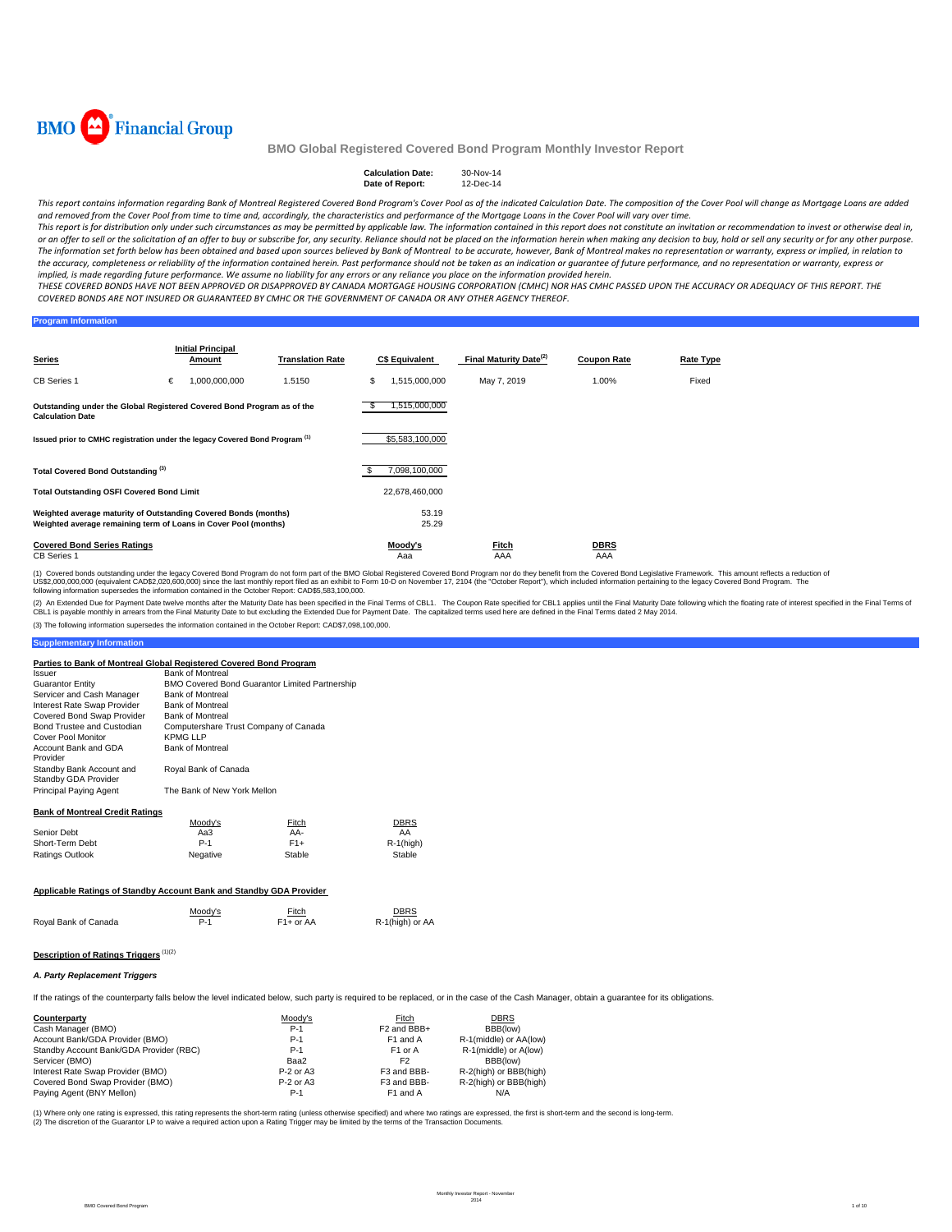

#### **Calculation Date:** 30-Nov-14<br>Date of Report: 12-Dec-14 **Date of Report:**

This report contains information regarding Bank of Montreal Registered Covered Bond Program's Cover Pool as of the indicated Calculation Date. The composition of the Cover Pool will change as Mortgage Loans are added and removed from the Cover Pool from time to time and, accordingly, the characteristics and performance of the Mortgage Loans in the Cover Pool will vary over time.

This report is for distribution only under such circumstances as may be permitted by applicable law. The information contained in this report does not constitute an invitation or recommendation to invest or otherwise deal or an offer to sell or the solicitation of an offer to buy or subscribe for, any security. Reliance should not be placed on the information herein when making any decision to buy, hold or sell any security or for any other The information set forth below has been obtained and based upon sources believed by Bank of Montreal to be accurate, however, Bank of Montreal makes no representation or warranty, express or implied, in relation to the accuracy, completeness or reliability of the information contained herein. Past performance should not be taken as an indication or guarantee of future performance, and no representation or warranty, express or implied, is made regarding future performance. We assume no liability for any errors or any reliance you place on the information provided herein.

THESE COVERED BONDS HAVE NOT BEEN APPROVED OR DISAPPROVED BY CANADA MORTGAGE HOUSING CORPORATION (CMHC) NOR HAS CMHC PASSED UPON THE ACCURACY OR ADEQUACY OF THIS REPORT. THE COVERED BONDS ARE NOT INSURED OR GUARANTEED BY CMHC OR THE GOVERNMENT OF CANADA OR ANY OTHER AGENCY THEREOF.

### **Program Information**

| <b>Series</b>                                                                                                                      |   | <b>Initial Principal</b><br>Amount | <b>Translation Rate</b> |     | <b>C\$ Equivalent</b> | Final Maturity Date <sup>(2)</sup> | <b>Coupon Rate</b> | Rate Type |
|------------------------------------------------------------------------------------------------------------------------------------|---|------------------------------------|-------------------------|-----|-----------------------|------------------------------------|--------------------|-----------|
| CB Series 1                                                                                                                        | € | 1,000,000,000                      | 1.5150                  | S   | 1,515,000,000         | May 7, 2019                        | 1.00%              | Fixed     |
| Outstanding under the Global Registered Covered Bond Program as of the<br><b>Calculation Date</b>                                  |   |                                    | 1,515,000,000           |     |                       |                                    |                    |           |
| Issued prior to CMHC registration under the legacy Covered Bond Program <sup>(1)</sup>                                             |   |                                    |                         |     | \$5,583,100,000       |                                    |                    |           |
| Total Covered Bond Outstanding <sup>(3)</sup>                                                                                      |   |                                    |                         | \$. | 7,098,100,000         |                                    |                    |           |
| <b>Total Outstanding OSFI Covered Bond Limit</b>                                                                                   |   |                                    | 22,678,460,000          |     |                       |                                    |                    |           |
| Weighted average maturity of Outstanding Covered Bonds (months)<br>Weighted average remaining term of Loans in Cover Pool (months) |   |                                    | 53.19<br>25.29          |     |                       |                                    |                    |           |
| <b>Covered Bond Series Ratings</b><br><b>CB</b> Series 1                                                                           |   |                                    |                         |     | Moody's<br>Aaa        | Fitch<br>AAA                       | <b>DBRS</b><br>AAA |           |

(1) Covered bonds outstanding under the legacy Covered Bond Program do not form part of the BMO Global Registered Covered Bond Program nor do they benefit from the Covered Bond Legislative Framework. This amount reflects a

(2) An Extended Due for Payment Date welve months after the Maturity Date has been specified in the Final Terms of CBL1. The Coupon Rate specified in the fluat has been the specified in the Final Terms of CBL1 is payable m

(3) The following information supersedes the information contained in the October Report: CAD\$7,098,100,000.

#### **Parties to Bank of Montreal Global Registered Covered Bond Program**

| Issuer                                           | <b>Bank of Montreal</b>               |                                                |              |  |  |  |  |
|--------------------------------------------------|---------------------------------------|------------------------------------------------|--------------|--|--|--|--|
| <b>Guarantor Entity</b>                          |                                       | BMO Covered Bond Guarantor Limited Partnership |              |  |  |  |  |
| Servicer and Cash Manager                        | <b>Bank of Montreal</b>               |                                                |              |  |  |  |  |
| Interest Rate Swap Provider                      | <b>Bank of Montreal</b>               |                                                |              |  |  |  |  |
| Covered Bond Swap Provider                       | <b>Bank of Montreal</b>               |                                                |              |  |  |  |  |
| Bond Trustee and Custodian                       | Computershare Trust Company of Canada |                                                |              |  |  |  |  |
| Cover Pool Monitor                               | <b>KPMG LLP</b>                       |                                                |              |  |  |  |  |
| Account Bank and GDA<br>Provider                 | <b>Bank of Montreal</b>               |                                                |              |  |  |  |  |
| Standby Bank Account and<br>Standby GDA Provider | Royal Bank of Canada                  |                                                |              |  |  |  |  |
| Principal Paying Agent                           | The Bank of New York Mellon           |                                                |              |  |  |  |  |
| <b>Bank of Montreal Credit Ratings</b>           |                                       |                                                |              |  |  |  |  |
|                                                  | Moody's                               | Fitch                                          | <b>DBRS</b>  |  |  |  |  |
| Senior Debt                                      | Aa3                                   | AA-                                            | AA           |  |  |  |  |
| Short-Term Debt                                  | $P-1$                                 | $F1+$                                          | $R-1$ (high) |  |  |  |  |
| Ratings Outlook                                  | Negative                              | Stable                                         | Stable       |  |  |  |  |

**Applicable Ratings of Standby Account Bank and Standby GDA Provider** 

|                      | Moodv's    | Fitch<br>___           | <b>DBRS</b>     |
|----------------------|------------|------------------------|-----------------|
| Royal Bank of Canada | <b>P.1</b> | F <sub>1</sub> + or AA | R-1(high) or AA |

## **Description of Ratings Triggers** (1)(2)

#### *A. Party Replacement Triggers*

**Supplementary Information**

If the ratings of the counterparty falls below the level indicated below, such party is required to be replaced, or in the case of the Cash Manager, obtain a guarantee for its obligations.

| Counterparty                            | Moodv's     | Fitch                   | <b>DBRS</b>            |
|-----------------------------------------|-------------|-------------------------|------------------------|
| Cash Manager (BMO)                      | $P-1$       | F <sub>2</sub> and BBB+ | BBB(low)               |
| Account Bank/GDA Provider (BMO)         | $P-1$       | F <sub>1</sub> and A    | R-1(middle) or AA(low) |
| Standby Account Bank/GDA Provider (RBC) | $P-1$       | F <sub>1</sub> or A     | R-1(middle) or A(low)  |
| Servicer (BMO)                          | Baa2        | F <sub>2</sub>          | BBB(low)               |
| Interest Rate Swap Provider (BMO)       | $P-2$ or A3 | F3 and BBB-             | R-2(high) or BBB(high) |
| Covered Bond Swap Provider (BMO)        | $P-2$ or A3 | F3 and BBB-             | R-2(high) or BBB(high) |
| Paying Agent (BNY Mellon)               | $P-1$       | F1 and A                | N/A                    |

(1) Where only one rating is expressed, this rating represents the short-term rating (unless otherwise specified) and where two ratings are expressed, the first is short-term and the second is long-term.<br>(2) The discretion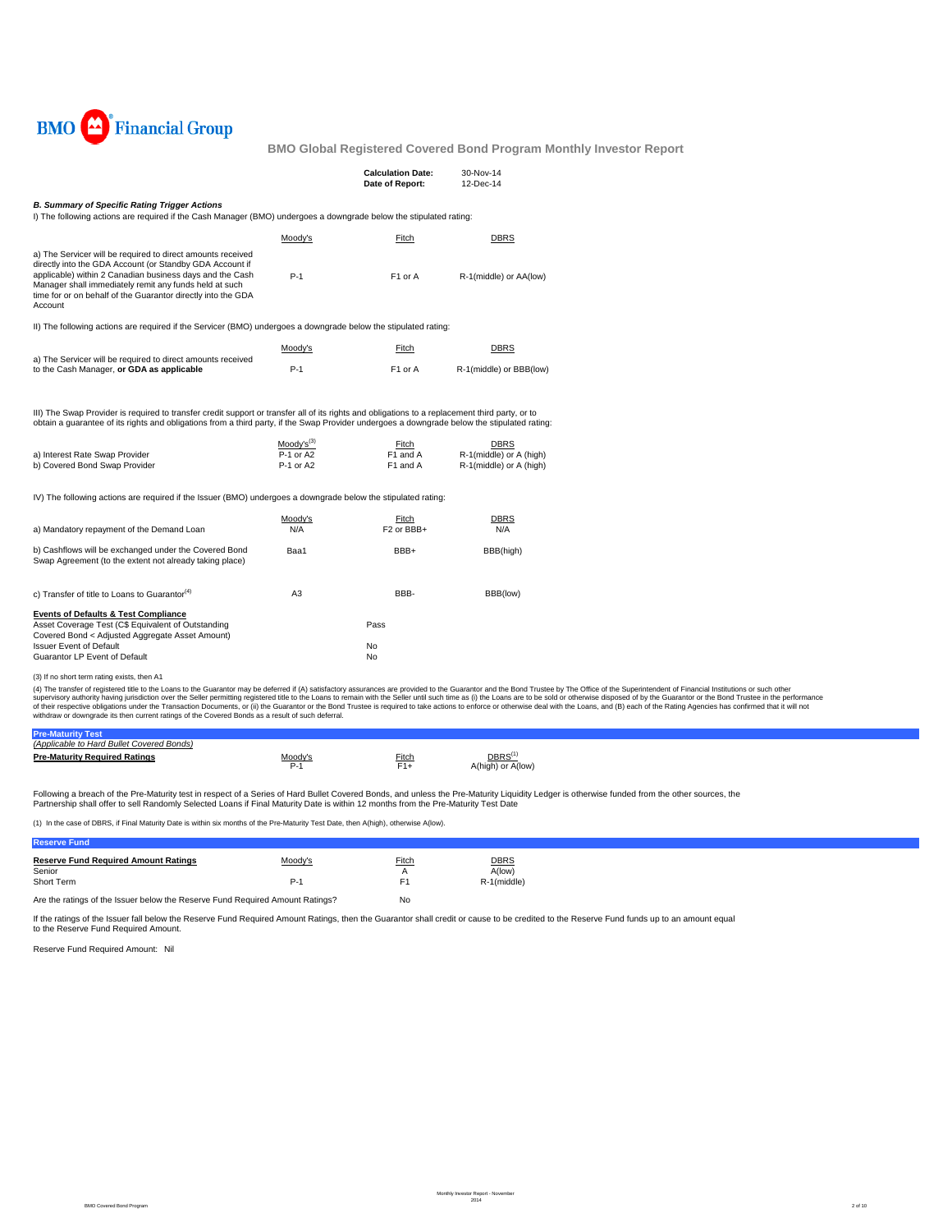

|                                                                                                                                                                                                                                                                                                                                                                                                                                                                                                                        |                | <b>Calculation Date:</b><br>Date of Report: | 30-Nov-14<br>12-Dec-14  |  |  |  |  |  |
|------------------------------------------------------------------------------------------------------------------------------------------------------------------------------------------------------------------------------------------------------------------------------------------------------------------------------------------------------------------------------------------------------------------------------------------------------------------------------------------------------------------------|----------------|---------------------------------------------|-------------------------|--|--|--|--|--|
| <b>B. Summary of Specific Rating Trigger Actions</b><br>I) The following actions are required if the Cash Manager (BMO) undergoes a downgrade below the stipulated rating:                                                                                                                                                                                                                                                                                                                                             |                |                                             |                         |  |  |  |  |  |
|                                                                                                                                                                                                                                                                                                                                                                                                                                                                                                                        | Moody's        | Fitch                                       | <b>DBRS</b>             |  |  |  |  |  |
| a) The Servicer will be required to direct amounts received<br>directly into the GDA Account (or Standby GDA Account if<br>applicable) within 2 Canadian business days and the Cash<br>Manager shall immediately remit any funds held at such<br>time for or on behalf of the Guarantor directly into the GDA<br>Account                                                                                                                                                                                               | $P-1$          | F1 or A                                     | R-1(middle) or AA(low)  |  |  |  |  |  |
| II) The following actions are required if the Servicer (BMO) undergoes a downgrade below the stipulated rating:                                                                                                                                                                                                                                                                                                                                                                                                        |                |                                             |                         |  |  |  |  |  |
|                                                                                                                                                                                                                                                                                                                                                                                                                                                                                                                        | Moody's        | Fitch                                       | <b>DBRS</b>             |  |  |  |  |  |
| a) The Servicer will be required to direct amounts received<br>to the Cash Manager, or GDA as applicable                                                                                                                                                                                                                                                                                                                                                                                                               | $P-1$          | F <sub>1</sub> or A                         | R-1(middle) or BBB(low) |  |  |  |  |  |
| III) The Swap Provider is required to transfer credit support or transfer all of its rights and obligations to a replacement third party, or to<br>obtain a guarantee of its rights and obligations from a third party, if the Swap Provider undergoes a downgrade below the stipulated rating:<br>$Mody's^{(3)}$<br><b>DBRS</b><br>Fitch<br>$P-1$ or A2<br>F1 and A<br>a) Interest Rate Swap Provider<br>R-1(middle) or A (high)<br>b) Covered Bond Swap Provider<br>P-1 or A2<br>F1 and A<br>R-1(middle) or A (high) |                |                                             |                         |  |  |  |  |  |
| IV) The following actions are required if the Issuer (BMO) undergoes a downgrade below the stipulated rating:                                                                                                                                                                                                                                                                                                                                                                                                          |                |                                             |                         |  |  |  |  |  |
| a) Mandatory repayment of the Demand Loan                                                                                                                                                                                                                                                                                                                                                                                                                                                                              | Moody's<br>N/A | Fitch<br>F <sub>2</sub> or BB <sub>H</sub>  | <b>DBRS</b><br>N/A      |  |  |  |  |  |
| b) Cashflows will be exchanged under the Covered Bond<br>Swap Agreement (to the extent not already taking place)                                                                                                                                                                                                                                                                                                                                                                                                       | Baa1           | BBB+                                        | BBB(high)               |  |  |  |  |  |
|                                                                                                                                                                                                                                                                                                                                                                                                                                                                                                                        |                | BBB-                                        |                         |  |  |  |  |  |
| c) Transfer of title to Loans to Guarantor <sup>(4)</sup>                                                                                                                                                                                                                                                                                                                                                                                                                                                              | A3             |                                             | BBB(low)                |  |  |  |  |  |
| <b>Events of Defaults &amp; Test Compliance</b><br>Asset Coverage Test (C\$ Equivalent of Outstanding<br>Covered Bond < Adjusted Aggregate Asset Amount)                                                                                                                                                                                                                                                                                                                                                               |                | Pass                                        |                         |  |  |  |  |  |
| <b>Issuer Event of Default</b>                                                                                                                                                                                                                                                                                                                                                                                                                                                                                         |                | No                                          |                         |  |  |  |  |  |

(3) If no short term rating exists, then A1

(4) The transfer of registered title to the Loans to the Guarantor may be deferred if (A) satisfactory assurances are provided to the Guarantor and the Bond Trustee by The Office of the Superintendent of Financial Institut

| (Applicable to Hard Bullet Covered Bonds) |         |       |                    |  |
|-------------------------------------------|---------|-------|--------------------|--|
| <b>Pre-Maturity Required Ratings</b>      | Moody's | Fitch | DBRS <sup>(1</sup> |  |
|                                           | -<br>ັ  |       | A(high) or A(low)  |  |

Following a breach of the Pre-Maturity test in respect of a Series of Hard Bullet Covered Bonds, and unless the Pre-Maturity Liquidity Ledger is otherwise funded from the other sources, the Partnership shall offer to sell Randomly Selected Loans if Final Maturity Date is within 12 months from the Pre-Maturity Test Date

(1) In the case of DBRS, if Final Maturity Date is within six months of the Pre-Maturity Test Date, then A(high), otherwise A(low).

Are the ratings of the Issuer below the Reserve Fund Required Amount Ratings? No

If the ratings of the Issuer fall below the Reserve Fund Required Amount Ratings, then the Guarantor shall credit or cause to be credited to the Reserve Fund funds up to an amount equal to the Reserve Fund Required Amount.

Reserve Fund Required Amount: Nil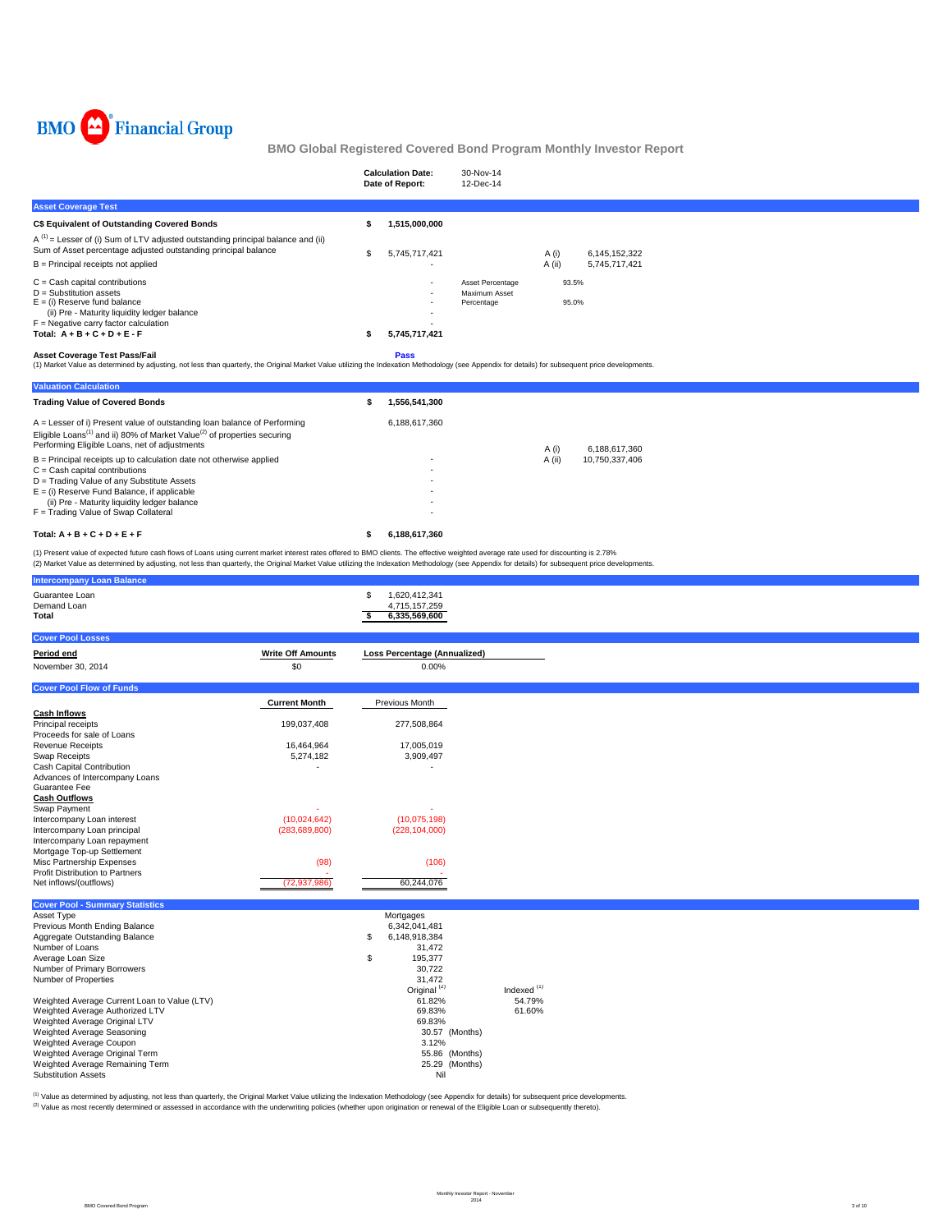

|                                                                                                                                                                                                                                            | <b>Calculation Date:</b><br>Date of Report: | 30-Nov-14<br>12-Dec-14      |        |               |
|--------------------------------------------------------------------------------------------------------------------------------------------------------------------------------------------------------------------------------------------|---------------------------------------------|-----------------------------|--------|---------------|
| <b>Asset Coverage Test</b>                                                                                                                                                                                                                 |                                             |                             |        |               |
| C\$ Equivalent of Outstanding Covered Bonds                                                                                                                                                                                                | 1,515,000,000                               |                             |        |               |
| $A^{(1)}$ = Lesser of (i) Sum of LTV adjusted outstanding principal balance and (ii)<br>Sum of Asset percentage adjusted outstanding principal balance                                                                                     | 5.745.717.421                               |                             | A (i)  | 6,145,152,322 |
| B = Principal receipts not applied                                                                                                                                                                                                         |                                             |                             | A (ii) | 5,745,717,421 |
| $C =$ Cash capital contributions                                                                                                                                                                                                           |                                             | Asset Percentage            | 93.5%  |               |
| $D =$ Substitution assets<br>$E =$ (i) Reserve fund balance<br>(ii) Pre - Maturity liquidity ledger balance                                                                                                                                | ٠.                                          | Maximum Asset<br>Percentage | 95.0%  |               |
| $F = Neqative carry factor calculation$                                                                                                                                                                                                    |                                             |                             |        |               |
| Total: $A + B + C + D + E - F$                                                                                                                                                                                                             | 5,745,717,421                               |                             |        |               |
| <b>Asset Coverage Test Pass/Fail</b><br>(1) Market Value as determined by adjusting, not less than quarterly, the Original Market Value utilizing the Indexation Methodology (see Appendix for details) for subsequent price developments. | <b>Pass</b>                                 |                             |        |               |

| <b>Valuation Calculation</b>                                                                                                                                                                                                   |               |        |                |
|--------------------------------------------------------------------------------------------------------------------------------------------------------------------------------------------------------------------------------|---------------|--------|----------------|
| <b>Trading Value of Covered Bonds</b>                                                                                                                                                                                          | 1.556.541.300 |        |                |
| $A =$ Lesser of i) Present value of outstanding loan balance of Performing<br>Eligible Loans <sup>(1)</sup> and ii) 80% of Market Value <sup>(2)</sup> of properties securing<br>Performing Eligible Loans, net of adjustments | 6.188.617.360 | A (i)  | 6.188.617.360  |
| $B =$ Principal receipts up to calculation date not otherwise applied                                                                                                                                                          |               | A (ii) | 10.750.337.406 |
| $C = Cash$ capital contributions                                                                                                                                                                                               |               |        |                |
| D = Trading Value of any Substitute Assets                                                                                                                                                                                     |               |        |                |
| $E =$ (i) Reserve Fund Balance, if applicable                                                                                                                                                                                  |               |        |                |
| (ii) Pre - Maturity liquidity ledger balance                                                                                                                                                                                   |               |        |                |
| F = Trading Value of Swap Collateral                                                                                                                                                                                           |               |        |                |
| Total: $A + B + C + D + E + F$                                                                                                                                                                                                 | 6.188.617.360 |        |                |

(1) Present value of expected future cash flows of Loans using current market interest rates offered to BMO clients. The effective weighted average rate used for discounting is 2.78%<br>(2) Market Value as determined by adjus

| <b>Intercompany Loan Balance</b>                                 |                          |                                                             |                        |  |  |
|------------------------------------------------------------------|--------------------------|-------------------------------------------------------------|------------------------|--|--|
| Guarantee Loan<br>Demand Loan<br>Total                           |                          | \$<br>1,620,412,341<br>4,715,157,259<br>6,335,569,600<br>Ŝ. |                        |  |  |
| <b>Cover Pool Losses</b>                                         |                          |                                                             |                        |  |  |
| Period end                                                       | <b>Write Off Amounts</b> | <b>Loss Percentage (Annualized)</b>                         |                        |  |  |
| November 30, 2014                                                | \$0                      | 0.00%                                                       |                        |  |  |
| <b>Cover Pool Flow of Funds</b>                                  |                          |                                                             |                        |  |  |
|                                                                  |                          |                                                             |                        |  |  |
|                                                                  | <b>Current Month</b>     | Previous Month                                              |                        |  |  |
| <b>Cash Inflows</b>                                              |                          |                                                             |                        |  |  |
| Principal receipts                                               | 199,037,408              | 277,508,864                                                 |                        |  |  |
| Proceeds for sale of Loans                                       |                          |                                                             |                        |  |  |
| <b>Revenue Receipts</b>                                          | 16,464,964               | 17,005,019                                                  |                        |  |  |
| Swap Receipts<br>Cash Capital Contribution                       | 5,274,182                | 3,909,497                                                   |                        |  |  |
| Advances of Intercompany Loans                                   |                          |                                                             |                        |  |  |
| Guarantee Fee                                                    |                          |                                                             |                        |  |  |
| <b>Cash Outflows</b>                                             |                          |                                                             |                        |  |  |
| Swap Payment                                                     | ٠                        |                                                             |                        |  |  |
| Intercompany Loan interest                                       | (10,024,642)             | (10,075,198)                                                |                        |  |  |
| Intercompany Loan principal                                      | (283, 689, 800)          | (228, 104, 000)                                             |                        |  |  |
| Intercompany Loan repayment                                      |                          |                                                             |                        |  |  |
| Mortgage Top-up Settlement                                       |                          |                                                             |                        |  |  |
| Misc Partnership Expenses                                        | (98)                     | (106)                                                       |                        |  |  |
| <b>Profit Distribution to Partners</b>                           |                          |                                                             |                        |  |  |
| Net inflows/(outflows)                                           | (72, 937, 986)           | 60,244,076                                                  |                        |  |  |
|                                                                  |                          |                                                             |                        |  |  |
| <b>Cover Pool - Summary Statistics</b>                           |                          |                                                             |                        |  |  |
| Asset Type                                                       |                          | Mortgages                                                   |                        |  |  |
| Previous Month Ending Balance                                    |                          | 6,342,041,481                                               |                        |  |  |
| Aggregate Outstanding Balance                                    |                          | \$<br>6,148,918,384                                         |                        |  |  |
| Number of Loans                                                  |                          | 31,472                                                      |                        |  |  |
| Average Loan Size                                                |                          | \$<br>195,377                                               |                        |  |  |
| Number of Primary Borrowers                                      |                          | 30.722                                                      |                        |  |  |
| Number of Properties                                             |                          | 31.472                                                      | Indexed <sup>(1)</sup> |  |  |
|                                                                  |                          | Original <sup>(2)</sup>                                     |                        |  |  |
| Weighted Average Current Loan to Value (LTV)                     |                          | 61.82%                                                      | 54.79%                 |  |  |
| Weighted Average Authorized LTV<br>Weighted Average Original LTV |                          | 69.83%<br>69.83%                                            | 61.60%                 |  |  |
| Weighted Average Seasoning                                       |                          | 30.57 (Months)                                              |                        |  |  |
| Weighted Average Coupon                                          |                          | 3.12%                                                       |                        |  |  |
| Weighted Average Original Term                                   |                          | 55.86 (Months)                                              |                        |  |  |
| Weighted Average Remaining Term                                  |                          | 25.29 (Months)                                              |                        |  |  |
| <b>Substitution Assets</b>                                       |                          | Nil                                                         |                        |  |  |
|                                                                  |                          |                                                             |                        |  |  |

<sup>(1)</sup> Value as determined by adjusting, not less than quarterly, the Original Market Value utilizing the Indexation Methodology (see Appendix for details) for subsequent price developments.<br><sup>(2)</sup> Value as most recently det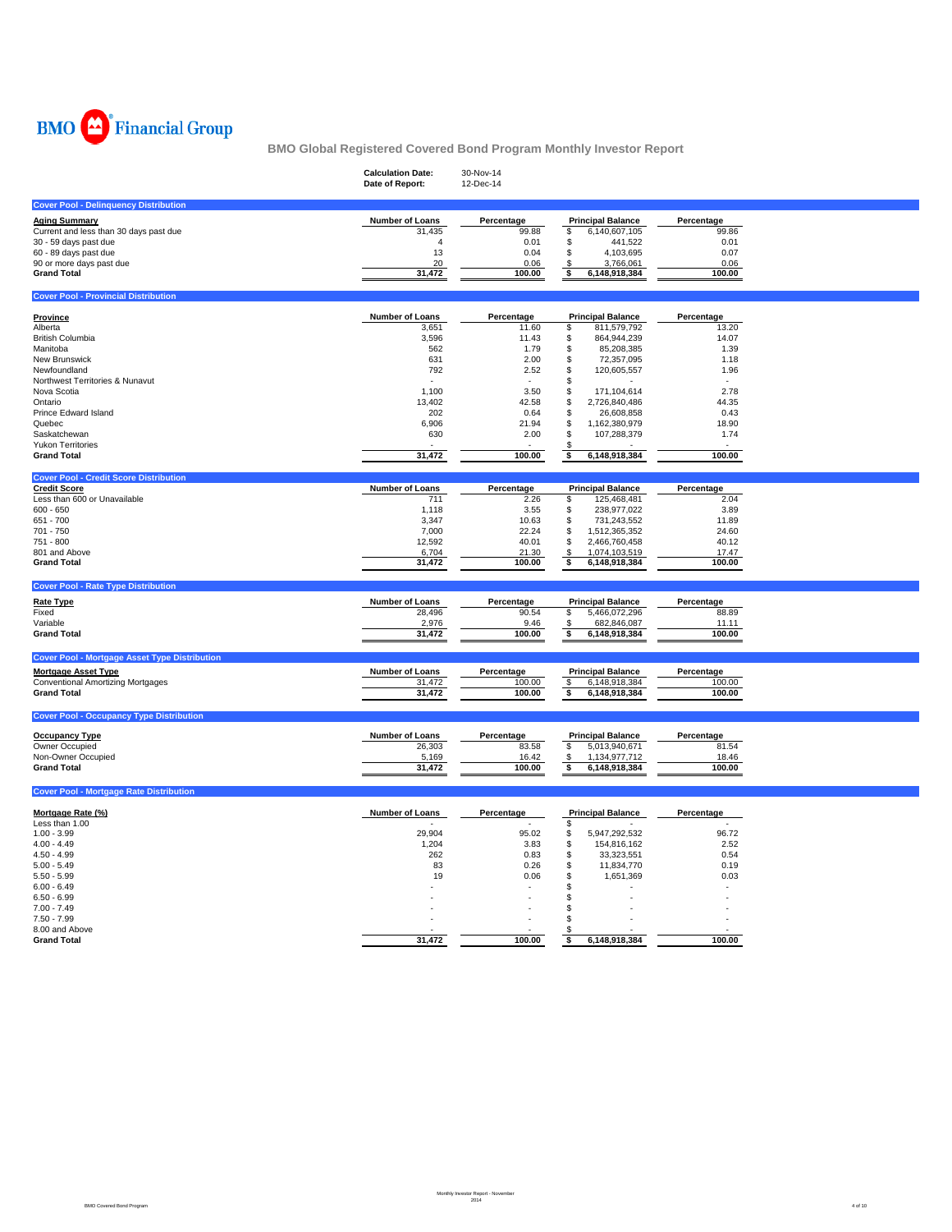

|                                                      | <b>Calculation Date:</b><br>Date of Report: | 30-Nov-14<br>12-Dec-14 |                                            |                    |  |
|------------------------------------------------------|---------------------------------------------|------------------------|--------------------------------------------|--------------------|--|
| <b>Cover Pool - Delinquency Distribution</b>         |                                             |                        |                                            |                    |  |
| <b>Aging Summary</b>                                 | <b>Number of Loans</b>                      | Percentage             | <b>Principal Balance</b>                   | Percentage         |  |
| Current and less than 30 days past due               | 31,435                                      | 99.88                  | \$<br>6,140,607,105                        | 99.86              |  |
| 30 - 59 days past due                                | $\boldsymbol{\Delta}$                       | 0.01                   | \$<br>441,522                              | 0.01               |  |
| 60 - 89 days past due                                | 13                                          | 0.04                   | 4,103,695<br>\$                            | 0.07               |  |
| 90 or more days past due                             | 20                                          | 0.06                   | 3,766,061<br>S                             | 0.06               |  |
| <b>Grand Total</b>                                   | 31,472                                      | 100.00                 | \$<br>6,148,918,384                        | 100.00             |  |
| <b>Cover Pool - Provincial Distribution</b>          |                                             |                        |                                            |                    |  |
| Province                                             | <b>Number of Loans</b>                      | Percentage             | <b>Principal Balance</b>                   | Percentage         |  |
| Alberta                                              | 3,651                                       | 11.60                  | \$<br>811,579,792                          | 13.20              |  |
| <b>British Columbia</b>                              | 3,596                                       | 11.43                  | \$<br>864,944,239                          | 14.07              |  |
| Manitoba                                             | 562                                         | 1.79                   | \$<br>85,208,385                           | 1.39               |  |
| New Brunswick                                        | 631                                         | 2.00                   | \$<br>72,357,095                           | 1.18               |  |
| Newfoundland                                         | 792                                         | 2.52                   | \$<br>120,605,557                          | 1.96               |  |
| Northwest Territories & Nunavut                      |                                             |                        | \$                                         |                    |  |
| Nova Scotia                                          | 1.100                                       | 3.50                   | 171,104,614<br>\$                          | 2.78               |  |
| Ontario                                              | 13,402                                      | 42.58                  | 2,726,840,486<br>S                         | 44.35              |  |
| Prince Edward Island                                 | 202                                         | 0.64                   | 26,608,858<br>\$                           | 0.43               |  |
| Quebec                                               | 6,906                                       | 21.94                  | \$<br>1,162,380,979                        | 18.90              |  |
| Saskatchewan                                         | 630                                         | 2.00                   | \$<br>107,288,379                          | 1.74               |  |
| <b>Yukon Territories</b>                             |                                             |                        | S                                          |                    |  |
| <b>Grand Total</b>                                   | 31,472                                      | 100.00                 | 6,148,918,384<br>\$                        | 100.00             |  |
| <b>Cover Pool - Credit Score Distribution</b>        |                                             |                        |                                            |                    |  |
| <b>Credit Score</b>                                  | <b>Number of Loans</b>                      | Percentage             | <b>Principal Balance</b>                   | Percentage<br>2.04 |  |
| Less than 600 or Unavailable                         | 711                                         | 2.26                   | 125,468,481<br>\$                          |                    |  |
| $600 - 650$                                          | 1,118                                       | 3.55                   | 238,977,022<br>\$                          | 3.89               |  |
| 651 - 700                                            | 3,347                                       | 10.63                  | \$<br>731,243,552                          | 11.89              |  |
| 701 - 750                                            | 7,000                                       | 22.24                  | \$<br>1,512,365,352                        | 24.60              |  |
| 751 - 800                                            | 12,592                                      | 40.01                  | \$<br>2,466,760,458                        | 40.12              |  |
| 801 and Above                                        | 6,704                                       | 21.30                  | 1,074,103,519<br>\$                        | 17.47              |  |
| <b>Grand Total</b>                                   | 31,472                                      | 100.00                 | \$<br>6,148,918,384                        | 100.00             |  |
| <b>Cover Pool - Rate Type Distribution</b>           |                                             |                        |                                            |                    |  |
| <b>Rate Type</b>                                     | <b>Number of Loans</b>                      | Percentage             | <b>Principal Balance</b>                   | Percentage         |  |
| Fixed                                                | 28,496                                      | 90.54                  | 5,466,072,296<br>\$                        | 88.89              |  |
| Variable                                             | 2,976                                       | 9.46                   | 682,846,087<br>\$                          | 11.11              |  |
| <b>Grand Total</b>                                   | 31,472                                      | 100.00                 | \$<br>6,148,918,384                        | 100.00             |  |
| <b>Cover Pool - Mortgage Asset Type Distribution</b> |                                             |                        |                                            |                    |  |
| <b>Mortgage Asset Type</b>                           | <b>Number of Loans</b>                      | Percentage             | <b>Principal Balance</b>                   | Percentage         |  |
| <b>Conventional Amortizing Mortgages</b>             | 31,472                                      | 100.00                 | 6,148,918,384<br>$\boldsymbol{\mathsf{s}}$ | 100.00             |  |
| <b>Grand Total</b>                                   | 31,472                                      | 100.00                 | \$<br>6,148,918,384                        | 100.00             |  |
|                                                      |                                             |                        |                                            |                    |  |
| <b>Cover Pool - Occupancy Type Distribution</b>      |                                             |                        |                                            |                    |  |
| <b>Occupancy Type</b>                                | <b>Number of Loans</b>                      | Percentage             | <b>Principal Balance</b>                   | Percentage         |  |
| Owner Occupied                                       | 26,303                                      | 83.58                  | \$<br>5,013,940,671                        | 81.54              |  |
| Non-Owner Occupied                                   | 5,169                                       | 16.42                  | \$<br>1,134,977,712                        | 18.46              |  |
| <b>Grand Total</b>                                   | 31,472                                      | 100.00                 | s.<br>6,148,918,384                        | 100.00             |  |
|                                                      |                                             |                        |                                            |                    |  |
| <b>Cover Pool - Mortgage Rate Distribution</b>       |                                             |                        |                                            |                    |  |
| Mortgage Rate (%)                                    | <b>Number of Loans</b>                      | Percentage             | <b>Principal Balance</b>                   | Percentage         |  |
| Less than 1.00                                       |                                             |                        | \$                                         |                    |  |
| $1.00 - 3.99$                                        | 29.904                                      | 95.02                  | \$<br>5,947,292,532                        | 96.72              |  |
| $4.00 - 4.49$                                        | 1,204                                       | 3.83                   | \$<br>154,816,162                          | 2.52               |  |
| $4.50 - 4.99$                                        | 262                                         | 0.83                   | \$<br>33,323,551                           | 0.54               |  |
| $5.00 - 5.49$                                        | 83                                          | 0.26                   | \$<br>11,834,770                           | 0.19               |  |
| $5.50 - 5.99$                                        | 19                                          | 0.06                   | \$<br>1,651,369                            | 0.03               |  |
| $6.00 - 6.49$                                        |                                             |                        | \$                                         |                    |  |
| $6.50 - 6.99$                                        |                                             |                        | \$                                         |                    |  |
| $7.00 - 7.49$                                        |                                             |                        | \$                                         |                    |  |
| $7.50 - 7.99$                                        |                                             |                        | \$                                         |                    |  |
| 8.00 and Above                                       |                                             |                        |                                            |                    |  |
| <b>Grand Total</b>                                   | 31,472                                      | 100.00                 | 6,148,918,384<br>\$                        | 100.00             |  |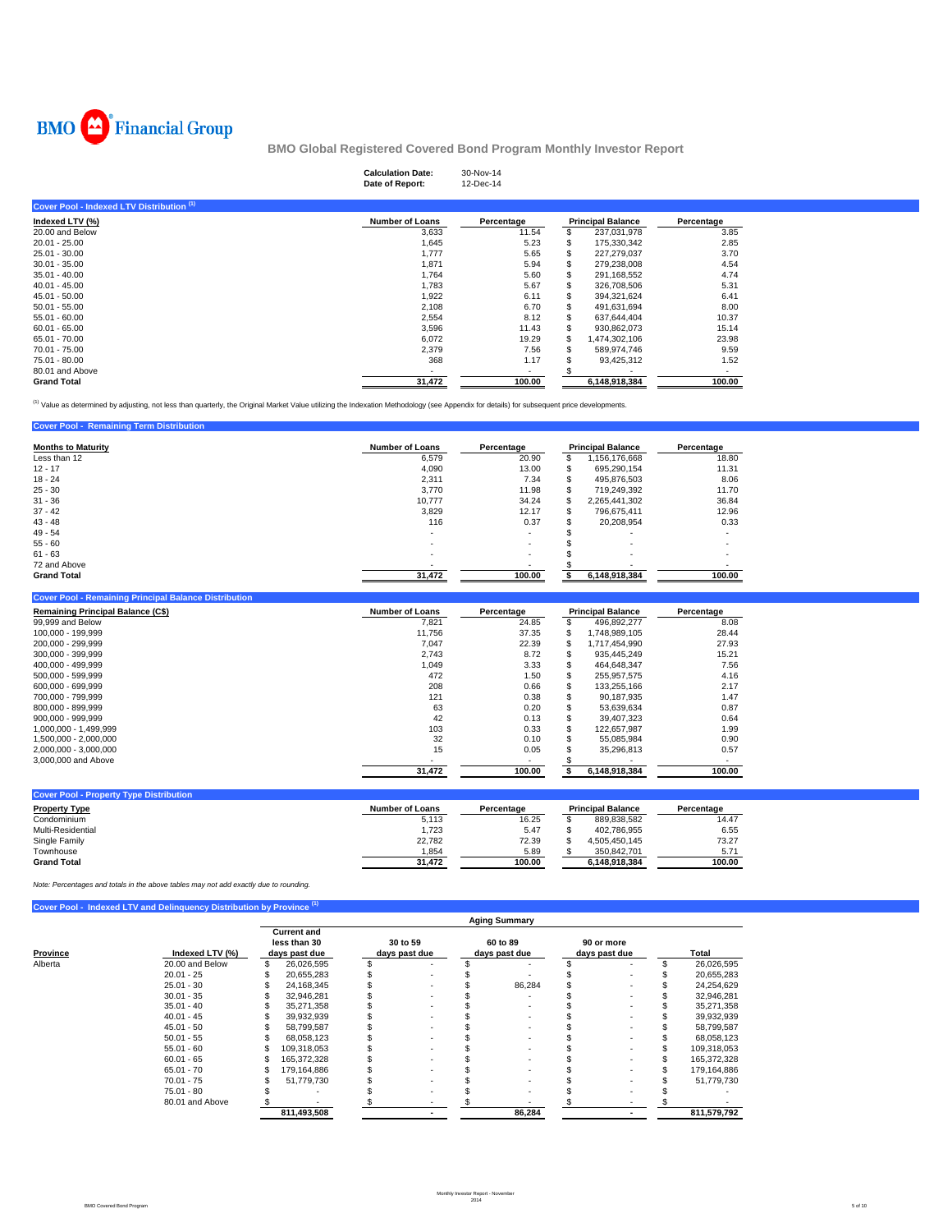

**Cover Pool - Remaining Term Distribution** 

**BMO Global Registered Covered Bond Program Monthly Investor Report**

|                                           | <b>Calculation Date:</b><br>Date of Report: | 30-Nov-14<br>12-Dec-14 |    |                          |            |  |
|-------------------------------------------|---------------------------------------------|------------------------|----|--------------------------|------------|--|
| Cover Pool - Indexed LTV Distribution (1) |                                             |                        |    |                          |            |  |
| Indexed LTV (%)                           | <b>Number of Loans</b>                      | Percentage             |    | <b>Principal Balance</b> | Percentage |  |
| 20,00 and Below                           | 3,633                                       | 11.54                  |    | 237,031,978              | 3.85       |  |
| $20.01 - 25.00$                           | 1,645                                       | 5.23                   | S  | 175,330,342              | 2.85       |  |
| 25.01 - 30.00                             | 1,777                                       | 5.65                   | S  | 227,279,037              | 3.70       |  |
| $30.01 - 35.00$                           | 1,871                                       | 5.94                   | S  | 279,238,008              | 4.54       |  |
| $35.01 - 40.00$                           | 1,764                                       | 5.60                   | S  | 291,168,552              | 4.74       |  |
| $40.01 - 45.00$                           | 1,783                                       | 5.67                   | £. | 326,708,506              | 5.31       |  |
| 45.01 - 50.00                             | 1,922                                       | 6.11                   | S  | 394,321,624              | 6.41       |  |
| $50.01 - 55.00$                           | 2,108                                       | 6.70                   | S  | 491,631,694              | 8.00       |  |
| $55.01 - 60.00$                           | 2,554                                       | 8.12                   | S  | 637,644,404              | 10.37      |  |
| $60.01 - 65.00$                           | 3,596                                       | 11.43                  | S  | 930,862,073              | 15.14      |  |
| 65.01 - 70.00                             | 6,072                                       | 19.29                  | S  | 1,474,302,106            | 23.98      |  |
| 70.01 - 75.00                             | 2,379                                       | 7.56                   | £. | 589.974.746              | 9.59       |  |
| 75.01 - 80.00                             | 368                                         | 1.17                   |    | 93,425,312               | 1.52       |  |
| 80.01 and Above                           |                                             |                        |    |                          |            |  |
| <b>Grand Total</b>                        | 31,472                                      | 100.00                 |    | 6,148,918,384            | 100.00     |  |

<sup>(1)</sup> Value as determined by adjusting, not less than quarterly, the Original Market Value utilizing the Indexation Methodology (see Appendix for details) for subsequent price developments.

| <b>Months to Maturity</b> | <b>Number of Loans</b> | Percentage               |     | <b>Principal Balance</b> | Percentage |
|---------------------------|------------------------|--------------------------|-----|--------------------------|------------|
| Less than 12              | 6.579                  | 20.90                    | \$. | 156,176,668              | 18.80      |
| $12 - 17$                 | 4,090                  | 13.00                    | S   | 695,290,154              | 11.31      |
| $18 - 24$                 | 2,311                  | 7.34                     | S   | 495,876,503              | 8.06       |
| $25 - 30$                 | 3.770                  | 11.98                    | S   | 719.249.392              | 11.70      |
| $31 - 36$                 | 10.777                 | 34.24                    | S   | 2.265.441.302            | 36.84      |
| $37 - 42$                 | 3,829                  | 12.17                    | S   | 796.675.411              | 12.96      |
| $43 - 48$                 | 116                    | 0.37                     | S   | 20,208,954               | 0.33       |
| $49 - 54$                 |                        | $\sim$                   |     |                          |            |
| $55 - 60$                 |                        | $\overline{\phantom{a}}$ |     |                          |            |
| $61 - 63$                 |                        | $\overline{\phantom{a}}$ |     |                          |            |
| 72 and Above              |                        |                          |     |                          |            |
| <b>Grand Total</b>        | 31.472                 | 100.00                   |     | 6,148,918,384            | 100.00     |

| <b>Cover Pool - Remaining Principal Balance Distribution</b> |                        |            |   |                          |            |
|--------------------------------------------------------------|------------------------|------------|---|--------------------------|------------|
| <b>Remaining Principal Balance (C\$)</b>                     | <b>Number of Loans</b> | Percentage |   | <b>Principal Balance</b> | Percentage |
| 99,999 and Below                                             | 7.821                  | 24.85      | ж | 496.892.277              | 8.08       |
| 100.000 - 199.999                                            | 11.756                 | 37.35      | S | 1,748,989,105            | 28.44      |
| 200.000 - 299.999                                            | 7.047                  | 22.39      | S | 1.717.454.990            | 27.93      |
| 300.000 - 399.999                                            | 2.743                  | 8.72       |   | 935.445.249              | 15.21      |
| 400.000 - 499.999                                            | 1,049                  | 3.33       |   | 464.648.347              | 7.56       |
| 500,000 - 599,999                                            | 472                    | 1.50       |   | 255.957.575              | 4.16       |
| 600.000 - 699.999                                            | 208                    | 0.66       |   | 133.255.166              | 2.17       |
| 700.000 - 799.999                                            | 121                    | 0.38       |   | 90.187.935               | 1.47       |
| 800.000 - 899.999                                            | 63                     | 0.20       |   | 53.639.634               | 0.87       |
| $900.000 - 999.999$                                          | 42                     | 0.13       |   | 39.407.323               | 0.64       |
| 1.000.000 - 1.499.999                                        | 103                    | 0.33       |   | 122.657.987              | 1.99       |
| 1.500.000 - 2.000.000                                        | 32                     | 0.10       |   | 55.085.984               | 0.90       |
| 2,000,000 - 3,000,000                                        | 15                     | 0.05       |   | 35.296.813               | 0.57       |
| 3,000,000 and Above                                          |                        |            |   |                          |            |
|                                                              | 31.472                 | 100.00     |   | 6.148.918.384            | 100.00     |

| <b>Cover Pool - Property Type Distribution</b> |                        |            |                          |            |
|------------------------------------------------|------------------------|------------|--------------------------|------------|
| <b>Property Type</b>                           | <b>Number of Loans</b> | Percentage | <b>Principal Balance</b> | Percentage |
| Condominium                                    | 5,113                  | 16.25      | 889.838.582              | 14.47      |
| Multi-Residential                              | 1.723                  | 5.47       | 402.786.955              | 6.55       |
| Single Family                                  | 22,782                 | 72.39      | 4.505.450.145            | 73.27      |
| Townhouse                                      | 1.854                  | 5.89       | 350.842.701              | 5.7'       |
| <b>Grand Total</b>                             | 31.472                 | 100.00     | 6.148.918.384            | 100.00     |
|                                                |                        |            |                          |            |

*Note: Percentages and totals in the above tables may not add exactly due to rounding.*

**Cover Pool - Indexed LTV and Delinquency Distribution by Province (1)**

|          |                 |                                                     |                           | <b>Aging Summary</b>      |                             |             |
|----------|-----------------|-----------------------------------------------------|---------------------------|---------------------------|-----------------------------|-------------|
| Province | Indexed LTV (%) | <b>Current and</b><br>less than 30<br>days past due | 30 to 59<br>days past due | 60 to 89<br>days past due | 90 or more<br>days past due | Total       |
| Alberta  | 20.00 and Below | \$<br>26,026,595                                    |                           | $\overline{\phantom{a}}$  |                             | 26,026,595  |
|          | $20.01 - 25$    | 20,655,283                                          |                           |                           |                             | 20,655,283  |
|          | $25.01 - 30$    | 24.168.345                                          |                           | 86,284                    |                             | 24,254,629  |
|          | $30.01 - 35$    | 32.946.281                                          |                           |                           |                             | 32,946,281  |
|          | $35.01 - 40$    | 35.271.358                                          |                           |                           |                             | 35,271,358  |
|          | $40.01 - 45$    | 39,932,939                                          |                           |                           |                             | 39,932,939  |
|          | $45.01 - 50$    | 58.799.587                                          |                           |                           |                             | 58,799,587  |
|          | $50.01 - 55$    | 68.058.123                                          |                           | $\overline{\phantom{a}}$  |                             | 68,058,123  |
|          | $55.01 - 60$    | 109.318.053                                         |                           | ٠                         |                             | 109,318,053 |
|          | $60.01 - 65$    | 165.372.328                                         |                           | $\sim$                    |                             | 165.372.328 |
|          | $65.01 - 70$    | 179,164,886                                         |                           |                           |                             | 179,164,886 |
|          | $70.01 - 75$    | 51,779,730                                          |                           |                           |                             | 51,779,730  |
|          | $75.01 - 80$    |                                                     |                           |                           |                             |             |
|          | 80.01 and Above |                                                     |                           |                           |                             |             |
|          |                 | 811,493,508                                         |                           | 86,284                    |                             | 811,579,792 |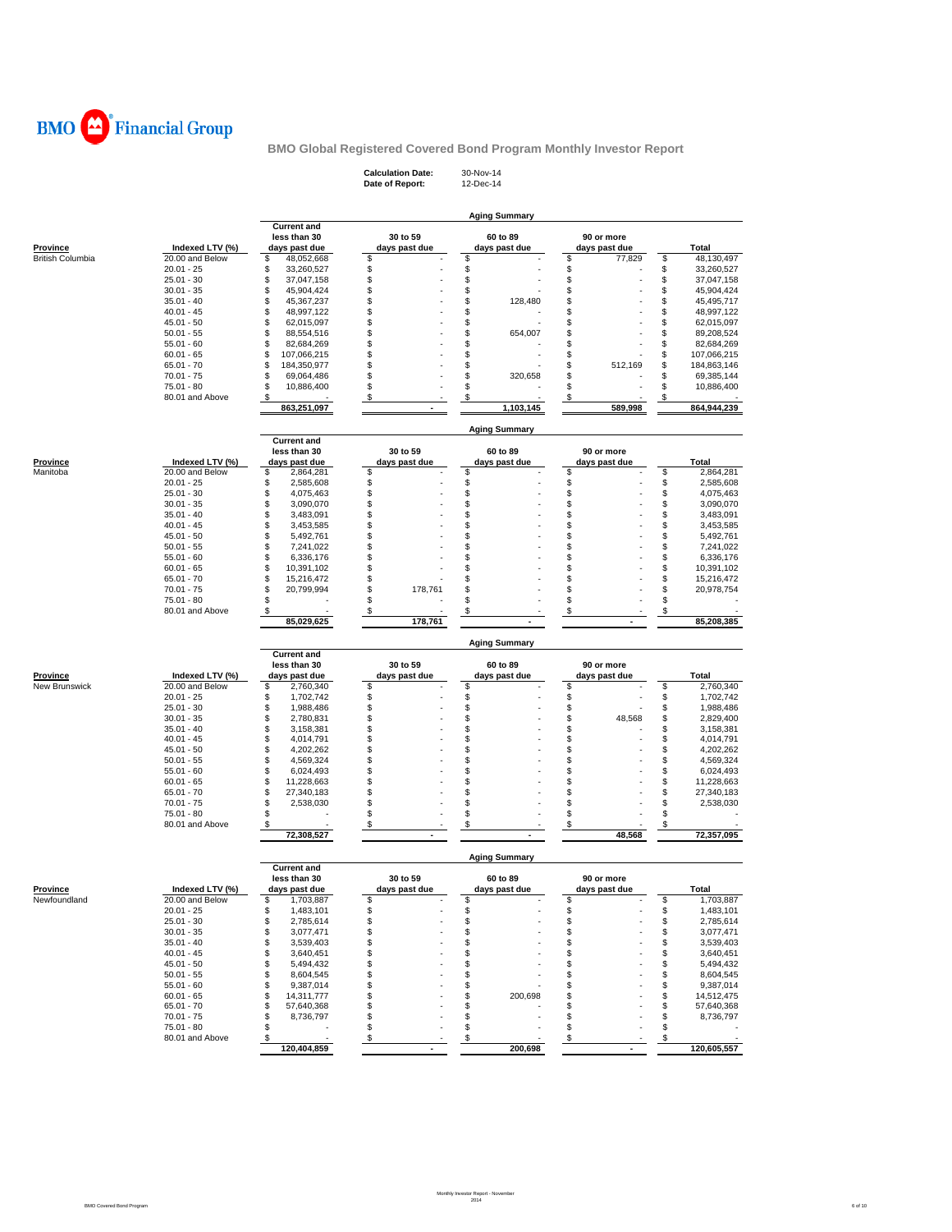

**Calculation Date:** 30-Nov-14 **Date of Report:** 12-Dec-14

|                                            |                               |                                    |                     | <b>Aging Summary</b> |               |                   |
|--------------------------------------------|-------------------------------|------------------------------------|---------------------|----------------------|---------------|-------------------|
|                                            |                               | <b>Current and</b><br>less than 30 | 30 to 59            | 60 to 89             | 90 or more    |                   |
|                                            | Indexed LTV (%)               | days past due                      |                     | days past due        | days past due | Total             |
| <u>Province</u><br><b>British Columbia</b> | 20.00 and Below               | \$<br>48,052,668                   | days past due<br>\$ | \$                   | \$<br>77,829  | \$<br>48,130,497  |
|                                            | $20.01 - 25$                  | \$<br>33,260,527                   |                     | \$                   | \$            | \$<br>33,260,527  |
|                                            | $25.01 - 30$                  | \$<br>37,047,158                   | \$                  | \$                   | \$            | \$<br>37,047,158  |
|                                            | $30.01 - 35$                  | \$<br>45,904,424                   | \$                  | \$                   | \$            | \$<br>45,904,424  |
|                                            | $35.01 - 40$                  | \$<br>45,367,237                   | \$                  | \$<br>128,480        | \$            | \$<br>45,495,717  |
|                                            | $40.01 - 45$                  | \$<br>48,997,122                   | \$                  | \$                   | \$            | \$<br>48,997,122  |
|                                            | $45.01 - 50$                  | \$<br>62,015,097                   | \$                  | \$                   | \$            | \$<br>62,015,097  |
|                                            | $50.01 - 55$                  | \$<br>88,554,516                   | \$                  | \$<br>654,007        | \$            | \$<br>89,208,524  |
|                                            | $55.01 - 60$                  | \$<br>82,684,269                   | \$                  | \$                   | \$            | \$<br>82,684,269  |
|                                            | $60.01 - 65$                  | \$<br>107,066,215                  | \$                  | \$                   | \$            | \$<br>107,066,215 |
|                                            | $65.01 - 70$                  | \$<br>184,350,977                  | \$                  | \$                   | \$<br>512,169 | \$<br>184,863,146 |
|                                            | $70.01 - 75$                  | \$<br>69,064,486                   | \$                  | \$<br>320,658        | \$            | \$<br>69,385,144  |
|                                            | $75.01 - 80$                  | \$<br>10,886,400                   | \$                  | \$                   | \$            | \$<br>10,886,400  |
|                                            | 80.01 and Above               | \$                                 | \$                  | \$                   | \$            | \$                |
|                                            |                               | 863,251,097                        |                     | 1,103,145            | 589,998       | 864,944,239       |
|                                            |                               |                                    |                     |                      |               |                   |
|                                            |                               | <b>Current and</b>                 |                     | <b>Aging Summary</b> |               |                   |
|                                            |                               | less than 30                       | 30 to 59            | 60 to 89             | 90 or more    |                   |
| <b>Province</b>                            | Indexed LTV (%)               | days past due                      | days past due       | days past due        | days past due | Total             |
| Manitoba                                   | 20.00 and Below               | \$<br>2,864,281                    | \$                  | \$                   | \$            | \$<br>2,864,281   |
|                                            | $20.01 - 25$                  | \$<br>2,585,608                    | \$                  | \$                   | \$            | \$<br>2,585,608   |
|                                            |                               |                                    |                     | \$                   |               |                   |
|                                            | $25.01 - 30$                  | \$<br>4,075,463                    | \$                  |                      | \$            | \$<br>4,075,463   |
|                                            | $30.01 - 35$                  | \$<br>3,090,070                    | \$                  | \$                   | \$            | \$<br>3,090,070   |
|                                            | $35.01 - 40$                  | \$<br>3,483,091                    | \$                  | \$                   | \$            | \$<br>3,483,091   |
|                                            | $40.01 - 45$                  | \$<br>3,453,585                    | \$                  | \$                   | \$            | \$<br>3,453,585   |
|                                            | $45.01 - 50$                  | \$<br>5,492,761                    | \$                  | S                    | \$            | \$<br>5,492,761   |
|                                            | $50.01 - 55$                  | \$<br>7,241,022                    | \$                  | S                    | \$            | \$<br>7,241,022   |
|                                            | $55.01 - 60$                  | \$<br>6,336,176                    | \$                  | S                    | \$            | \$<br>6,336,176   |
|                                            | $60.01 - 65$                  | \$<br>10,391,102                   | \$                  | S                    | \$            | \$<br>10,391,102  |
|                                            | $65.01 - 70$                  | \$<br>15,216,472                   | \$                  | \$                   | \$            | \$<br>15,216,472  |
|                                            | $70.01 - 75$                  | \$<br>20,799,994                   | \$<br>178,761       | \$                   | \$            | \$<br>20,978,754  |
|                                            | 75.01 - 80                    | \$                                 | \$                  | \$                   | \$            | \$                |
|                                            | 80.01 and Above               | \$                                 | \$                  | \$                   | \$            | \$                |
|                                            |                               | 85,029,625                         | 178,761             |                      |               | 85,208,385        |
|                                            |                               |                                    |                     | <b>Aging Summary</b> |               |                   |
|                                            |                               |                                    |                     |                      |               |                   |
|                                            |                               | <b>Current and</b>                 |                     |                      |               |                   |
|                                            |                               | less than 30                       | 30 to 59            | 60 to 89             | 90 or more    |                   |
| Province                                   | Indexed LTV (%)               | days past due                      | days past due       | days past due        | days past due | <b>Total</b>      |
| New Brunswick                              | 20.00 and Below               | \$<br>2,760,340                    | \$                  | \$                   | \$            | \$<br>2,760,340   |
|                                            | $20.01 - 25$                  | \$<br>1,702,742                    | \$                  | \$                   | \$            | \$<br>1,702,742   |
|                                            | $25.01 - 30$                  | \$<br>1,988,486                    | \$                  | \$                   | \$            | \$<br>1,988,486   |
|                                            | $30.01 - 35$                  | \$<br>2,780,831                    | \$                  | \$                   | \$<br>48,568  | \$<br>2,829,400   |
|                                            | $35.01 - 40$                  | \$<br>3,158,381                    | \$                  | \$                   | \$            | \$<br>3,158,381   |
|                                            | $40.01 - 45$                  | \$<br>4,014,791                    | \$                  | \$                   | \$            | \$<br>4,014,791   |
|                                            | $45.01 - 50$                  | \$<br>4,202,262                    | \$                  | \$                   | \$            | \$<br>4,202,262   |
|                                            | $50.01 - 55$                  | \$<br>4,569,324                    | \$                  | \$                   | \$            | \$<br>4,569,324   |
|                                            | $55.01 - 60$                  | \$<br>6,024,493                    | \$                  | \$                   | \$            | \$<br>6,024,493   |
|                                            | $60.01 - 65$                  | \$<br>11,228,663                   | \$                  | \$                   | \$            | \$<br>11,228,663  |
|                                            | $65.01 - 70$                  | \$<br>27,340,183                   | \$                  | \$                   | \$            | \$<br>27,340,183  |
|                                            | $70.01 - 75$                  | \$<br>2,538,030                    | \$                  | \$                   | \$            | \$<br>2,538,030   |
|                                            | 75.01 - 80                    | \$                                 | \$                  | \$                   | \$            | \$                |
|                                            | 80.01 and Above               | \$                                 | \$                  | \$                   | \$            | \$                |
|                                            |                               | 72,308,527                         |                     |                      | 48,568        | 72,357,095        |
|                                            |                               |                                    |                     | <b>Aging Summary</b> |               |                   |
|                                            |                               | <b>Current and</b>                 |                     |                      |               |                   |
|                                            |                               | less than 30                       | 30 to 59            | 60 to 89             | 90 or more    |                   |
| <b>Province</b>                            | Indexed LTV (%)               | days past due                      | days past due       | days past due        | days past due | Total             |
| Newfoundland                               | 20.00 and Below               | \$<br>1,703,887                    | \$                  | \$                   | \$            | \$<br>1,703,887   |
|                                            | $20.01 - 25$                  | 1,483,101                          |                     |                      | ፍ             | ፍ<br>1,483,101    |
|                                            | $25.01 - 30$                  | \$<br>2,785,614                    | \$                  | \$                   | \$            | \$<br>2,785,614   |
|                                            | $30.01 - 35$                  | \$<br>3,077,471                    | \$                  | \$                   | \$            | \$<br>3,077,471   |
|                                            | $35.01 - 40$                  | \$<br>3,539,403                    | \$                  | \$                   | \$            | 3,539,403<br>\$   |
|                                            | $40.01 - 45$                  | 3,640,451<br>\$                    | \$                  | \$                   | \$            | \$<br>3,640,451   |
|                                            | $45.01 - 50$                  | \$<br>5,494,432                    | \$                  | \$                   | \$            | \$<br>5,494,432   |
|                                            | $50.01 - 55$                  | \$<br>8,604,545                    | \$                  | \$                   | \$            | \$<br>8,604,545   |
|                                            | $55.01 - 60$                  | 9,387,014<br>\$                    | \$                  | \$                   | \$            | 9,387,014<br>\$   |
|                                            | $60.01 - 65$                  | \$<br>14,311,777                   | \$                  | \$<br>200,698        | \$            | 14,512,475        |
|                                            | $65.01 - 70$                  | 57,640,368<br>\$                   |                     | \$                   | \$            | \$                |
|                                            |                               | \$                                 | \$<br>\$            |                      |               | \$<br>57,640,368  |
|                                            | $70.01 - 75$                  | 8,736,797<br>\$                    |                     | \$                   | \$            | \$<br>8,736,797   |
|                                            | 75.01 - 80<br>80.01 and Above | \$                                 | \$<br>\$            | \$<br>\$             | \$<br>\$      | \$<br>\$          |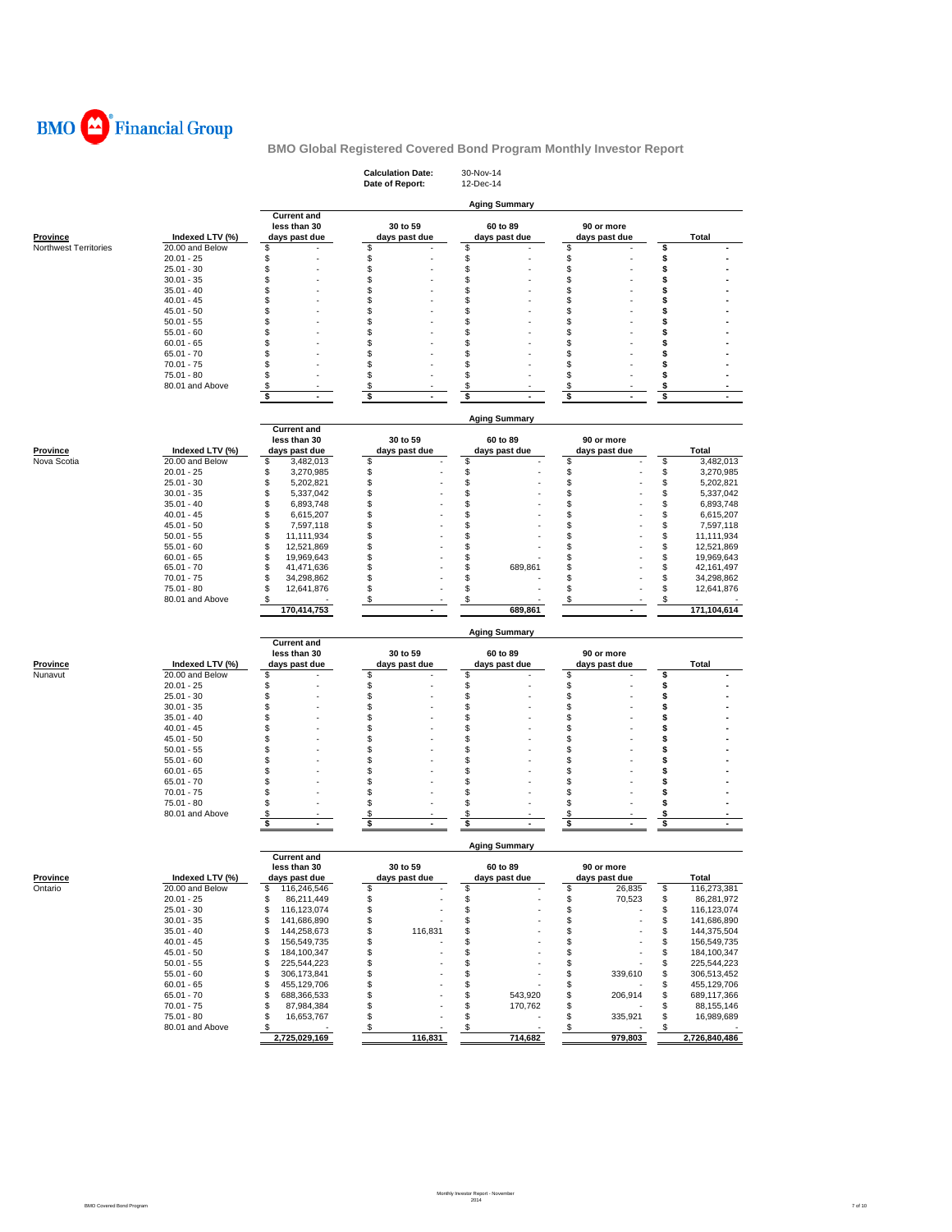

|                       |                                 |                                                     | <b>Calculation Date:</b><br>Date of Report: | 30-Nov-14<br>12-Dec-14           |                             |                            |
|-----------------------|---------------------------------|-----------------------------------------------------|---------------------------------------------|----------------------------------|-----------------------------|----------------------------|
|                       |                                 |                                                     |                                             | <b>Aging Summary</b>             |                             |                            |
| <b>Province</b>       | Indexed LTV (%)                 | <b>Current and</b><br>less than 30<br>days past due | 30 to 59<br>days past due                   | 60 to 89<br>days past due        | 90 or more<br>days past due | Total                      |
| Northwest Territories | 20.00 and Below<br>$20.01 - 25$ | \$<br>\$                                            | \$<br>\$                                    | \$<br>\$                         | \$<br>\$                    | \$                         |
|                       | $25.01 - 30$                    | \$                                                  | S                                           | \$                               | \$<br>÷                     | \$<br>\$                   |
|                       | $30.01 - 35$                    | \$                                                  | \$                                          | S                                | \$                          | \$                         |
|                       | $35.01 - 40$                    | \$                                                  | \$                                          | S                                | \$                          | \$                         |
|                       | $40.01 - 45$                    | \$                                                  | \$                                          | \$                               | \$                          | \$                         |
|                       | $45.01 - 50$                    | \$                                                  | \$                                          | \$                               | \$                          | \$                         |
|                       | $50.01 - 55$                    | \$                                                  | \$                                          | \$                               | \$                          | \$                         |
|                       | $55.01 - 60$                    | \$                                                  | S                                           | \$                               | \$                          | \$                         |
|                       | $60.01 - 65$                    | \$                                                  | S                                           | \$                               | \$                          | \$                         |
|                       | $65.01 - 70$                    | \$                                                  | \$                                          | S                                | \$                          | \$                         |
|                       | 70.01 - 75                      | \$                                                  | \$                                          | \$                               | \$                          | \$                         |
|                       | 75.01 - 80                      | \$                                                  | \$                                          | \$                               | \$                          | \$                         |
|                       | 80.01 and Above                 | \$                                                  | \$                                          | S                                | \$                          | \$                         |
|                       |                                 | \$<br>$\blacksquare$                                | \$                                          | \$                               | \$<br>$\blacksquare$        | \$                         |
|                       |                                 |                                                     |                                             |                                  |                             |                            |
|                       |                                 | <b>Current and</b>                                  |                                             | <b>Aging Summary</b>             |                             |                            |
|                       |                                 | less than 30                                        | 30 to 59                                    | 60 to 89                         | 90 or more                  |                            |
| <b>Province</b>       | Indexed LTV (%)                 | days past due                                       | days past due                               | days past due                    | days past due               | <b>Total</b>               |
| Nova Scotia           | 20.00 and Below                 | \$<br>3,482,013                                     | \$                                          | \$                               | \$                          | \$<br>3,482,013            |
|                       | $20.01 - 25$                    | \$<br>3,270,985                                     | \$                                          | \$                               | \$                          | \$<br>3,270,985            |
|                       | $25.01 - 30$                    | \$<br>5,202,821                                     | \$                                          | \$                               | \$                          | \$<br>5,202,821            |
|                       | $30.01 - 35$                    | \$<br>5,337,042                                     | \$                                          | \$                               | \$                          | \$<br>5,337,042            |
|                       | $35.01 - 40$                    | \$<br>6,893,748                                     | \$                                          | \$                               | \$                          | \$<br>6,893,748            |
|                       | $40.01 - 45$                    | \$<br>6,615,207                                     | \$                                          | \$                               | \$                          | \$<br>6,615,207            |
|                       | $45.01 - 50$                    | \$<br>7,597,118                                     | \$                                          | \$                               | \$                          | \$<br>7,597,118            |
|                       | $50.01 - 55$                    | \$<br>11,111,934                                    | \$                                          | \$                               | \$                          | \$<br>11,111,934           |
|                       | $55.01 - 60$                    | \$<br>12,521,869                                    | \$                                          | \$                               | \$                          | \$<br>12,521,869           |
|                       | $60.01 - 65$                    | \$<br>19,969,643                                    | \$                                          | \$                               | \$                          | \$<br>19,969,643           |
|                       | $65.01 - 70$                    | \$<br>41,471,636                                    | \$                                          | \$<br>689,861                    | \$                          | \$<br>42,161,497           |
|                       | $70.01 - 75$                    | \$<br>34,298,862                                    | \$                                          | \$                               | \$                          | \$<br>34,298,862           |
|                       | 75.01 - 80                      | \$<br>12,641,876                                    | \$                                          | \$                               | \$                          | \$<br>12,641,876           |
|                       | 80.01 and Above                 | \$                                                  | \$                                          | \$                               | \$                          | \$                         |
|                       |                                 | 170,414,753                                         |                                             | 689.861                          |                             | 171,104,614                |
|                       |                                 |                                                     |                                             | <b>Aging Summary</b>             |                             |                            |
|                       |                                 | <b>Current and</b>                                  |                                             |                                  |                             |                            |
|                       |                                 | less than 30                                        | 30 to 59                                    | 60 to 89                         | 90 or more                  |                            |
| Province              | Indexed LTV (%)                 | days past due                                       | days past due                               | days past due                    | days past due               | Total                      |
| Nunavut               | 20.00 and Below                 | \$                                                  | \$                                          | \$                               | \$                          | \$                         |
|                       | $20.01 - 25$                    | \$                                                  | \$                                          | \$                               | \$                          | \$                         |
|                       | $25.01 - 30$                    | \$                                                  | \$                                          | \$                               | \$                          | \$                         |
|                       | $30.01 - 35$                    | \$                                                  | \$                                          | \$                               | \$                          | \$                         |
|                       | $35.01 - 40$                    | \$                                                  | \$                                          | S                                | \$                          | \$                         |
|                       | $40.01 - 45$                    | \$                                                  | \$                                          | \$                               | \$                          | \$                         |
|                       | $45.01 - 50$                    | \$                                                  | \$                                          | \$                               | \$                          | \$                         |
|                       | $50.01 - 55$                    | \$                                                  | S                                           | \$                               | \$                          | \$                         |
|                       | $55.01 - 60$                    | \$                                                  | \$                                          | \$                               | \$                          | \$                         |
|                       | $60.01 - 65$                    | \$                                                  | S                                           | S                                | \$                          | \$                         |
|                       | $65.01 - 70$                    | \$                                                  | S                                           | \$                               | \$                          | \$                         |
|                       | $70.01 - 75$                    | \$                                                  | \$                                          | \$                               | \$                          | \$                         |
|                       | 75.01 - 80                      | \$                                                  | \$                                          | \$                               | \$                          | \$                         |
|                       | 80.01 and Above                 | \$<br>\$<br>$\mathbf{r}$                            | \$<br>\$                                    | \$<br>\$<br>$\ddot{\phantom{1}}$ | \$<br>\$<br>÷.              | \$<br>\$<br>$\blacksquare$ |
|                       |                                 |                                                     |                                             | <b>Aging Summary</b>             |                             |                            |
|                       |                                 | <b>Current and</b>                                  |                                             |                                  |                             |                            |
|                       |                                 | less than 30                                        | 30 to 59                                    | 60 to 89                         | 90 or more                  |                            |
| <b>Province</b>       | Indexed LTV (%)                 | days past due                                       | days past due                               | days past due                    | days past due               | <b>Total</b>               |
| Ontario               | 20.00 and Below                 | \$<br>116,246,546                                   | \$                                          | \$                               | \$<br>26,835                | \$<br>116,273,381          |
|                       | $20.01 - 25$                    | \$<br>86,211,449                                    | \$                                          | \$                               | \$<br>70,523                | \$<br>86,281,972           |
|                       | $25.01 - 30$                    | \$<br>116,123,074                                   | \$                                          | \$                               | \$                          | \$<br>116,123,074          |
|                       | $30.01 - 35$                    | \$<br>141,686,890                                   | \$                                          | \$                               | \$                          | \$<br>141,686,890          |
|                       | $35.01 - 40$                    | 144,258,673<br>\$                                   | 116,831<br>\$                               | \$                               | \$                          | \$<br>144,375,504          |
|                       | $40.01 - 45$                    | \$<br>156,549,735                                   | \$                                          | \$                               | \$                          | \$<br>156,549,735          |
|                       | $45.01 - 50$                    | \$<br>184,100,347                                   | \$                                          | \$                               | \$                          | \$<br>184,100,347          |
|                       | $50.01 - 55$                    | 225,544,223<br>\$                                   | \$                                          | \$                               | \$                          | \$<br>225,544,223          |
|                       | $55.01 - 60$                    | \$<br>306,173,841                                   | \$                                          | \$                               | \$<br>339,610               | \$<br>306,513,452          |
|                       | $60.01 - 65$                    | \$<br>455,129,706                                   | \$                                          | \$                               | \$                          | \$<br>455,129,706          |
|                       | 65.01 - 70                      | \$<br>688,366,533                                   | \$                                          | \$<br>543,920                    | \$<br>206,914               | \$<br>689,117,366          |
|                       |                                 |                                                     |                                             |                                  |                             |                            |
|                       | $70.01 - 75$                    | \$<br>87,984,384                                    | \$                                          | \$<br>170,762                    | \$                          | \$<br>88,155,146           |
|                       | 75.01 - 80                      | \$<br>16,653,767                                    | \$                                          | \$                               | \$<br>335,921               | \$<br>16,989,689           |
|                       | 80.01 and Above                 | \$<br>2,725,029,169                                 | \$<br>116,831                               | \$<br>714,682                    | \$<br>979,803               | \$<br>2,726,840,486        |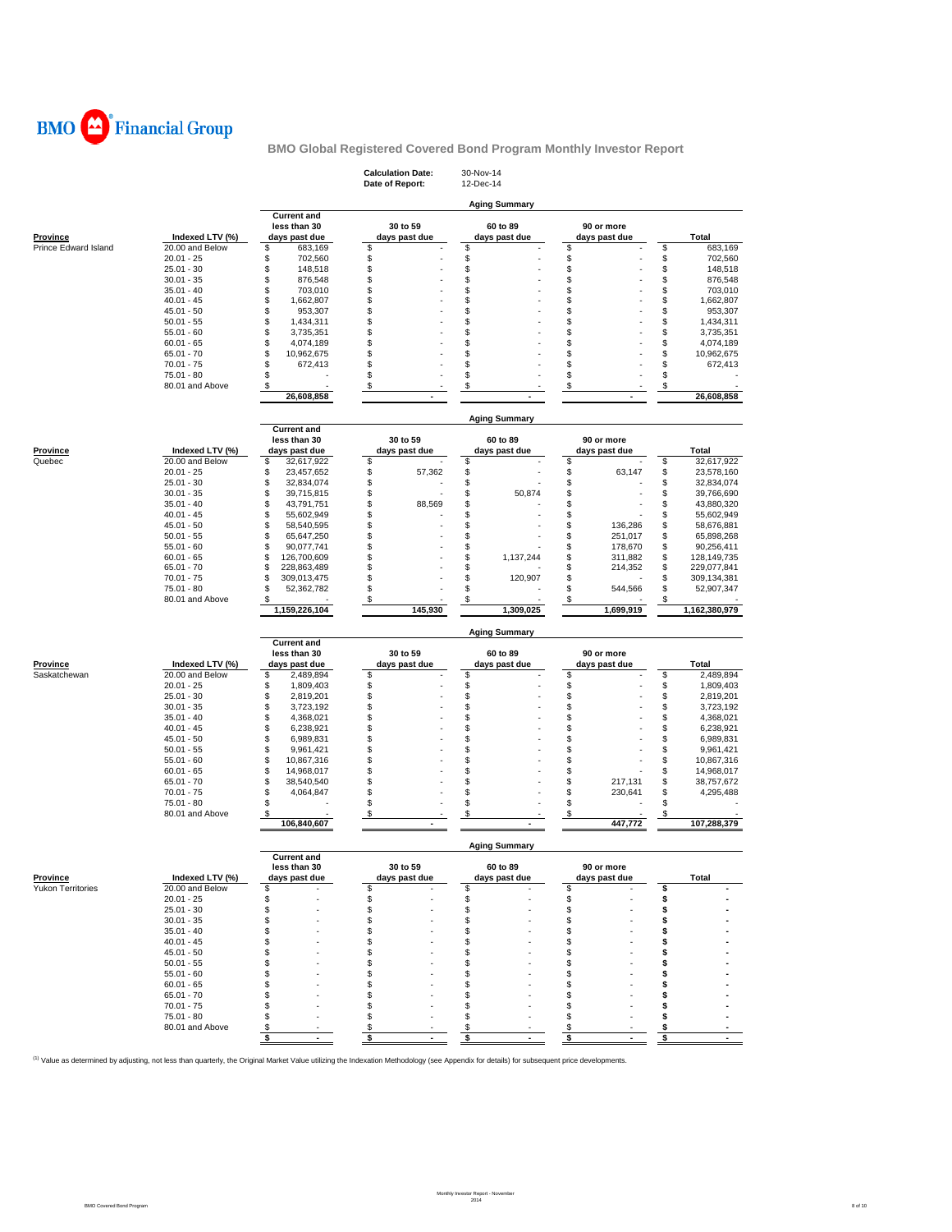

|                                      |                                    |                                                   | <b>Calculation Date:</b><br>Date of Report: | 30-Nov-14<br>12-Dec-14    |                             |                                      |
|--------------------------------------|------------------------------------|---------------------------------------------------|---------------------------------------------|---------------------------|-----------------------------|--------------------------------------|
|                                      |                                    |                                                   |                                             | <b>Aging Summary</b>      |                             |                                      |
|                                      |                                    | <b>Current and</b><br>less than 30                | 30 to 59                                    | 60 to 89                  | 90 or more                  |                                      |
| <b>Province</b>                      | Indexed LTV (%)                    | days past due                                     | days past due                               | days past due             | days past due               | Total                                |
| Prince Edward Island                 | 20.00 and Below                    | 683,169<br>\$                                     | \$                                          | \$                        | \$                          | \$<br>683,169                        |
|                                      | $20.01 - 25$                       | \$<br>702,560                                     | \$                                          | \$                        | \$                          | \$<br>702,560                        |
|                                      | $25.01 - 30$                       | \$<br>148,518                                     | \$                                          |                           | \$                          | \$<br>148,518                        |
|                                      | $30.01 - 35$                       | \$<br>876,548                                     | \$                                          | \$                        | \$                          | \$<br>876,548                        |
|                                      | $35.01 - 40$                       | \$<br>703,010                                     | \$                                          | \$                        | \$                          | \$<br>703,010                        |
|                                      | $40.01 - 45$                       | \$<br>1,662,807                                   | \$                                          | \$                        | \$                          | \$<br>1,662,807                      |
|                                      | $45.01 - 50$                       | \$<br>953,307<br>\$                               | \$<br>\$                                    | \$<br>\$                  | \$                          | \$<br>953,307<br>\$                  |
|                                      | $50.01 - 55$                       | 1,434,311<br>\$                                   | \$                                          | \$                        | \$<br>\$                    | 1,434,311<br>\$                      |
|                                      | $55.01 - 60$<br>$60.01 - 65$       | 3,735,351<br>\$<br>4,074,189                      | \$                                          | \$                        | \$                          | 3,735,351<br>\$<br>4,074,189         |
|                                      | $65.01 - 70$                       | \$<br>10,962,675                                  | \$                                          | \$                        | \$                          | \$<br>10,962,675                     |
|                                      | $70.01 - 75$                       | \$<br>672,413                                     | \$                                          | \$                        | \$                          | \$<br>672,413                        |
|                                      | 75.01 - 80                         | \$                                                | \$                                          | \$                        | \$                          | \$                                   |
|                                      | 80.01 and Above                    | \$                                                | \$                                          | \$                        | \$                          | \$                                   |
|                                      |                                    | 26,608,858                                        |                                             |                           |                             | 26,608,858                           |
|                                      |                                    |                                                   |                                             |                           |                             |                                      |
|                                      |                                    | <b>Current and</b>                                |                                             | <b>Aging Summary</b>      |                             |                                      |
|                                      |                                    | less than 30                                      | 30 to 59                                    | 60 to 89                  | 90 or more                  |                                      |
| <b>Province</b>                      | Indexed LTV (%)                    | days past due                                     | days past due                               | days past due             | days past due               | Total                                |
| Quebec                               | 20.00 and Below                    | \$<br>32,617,922                                  | \$                                          | \$                        | \$                          | \$<br>32,617,922                     |
|                                      | $20.01 - 25$                       | \$<br>23,457,652                                  | \$<br>57,362                                | \$                        | \$<br>63,147                | \$<br>23,578,160                     |
|                                      | $25.01 - 30$                       | \$<br>32,834,074                                  | \$                                          | \$                        | \$                          | \$<br>32,834,074                     |
|                                      | $30.01 - 35$<br>$35.01 - 40$       | \$<br>39,715,815<br>\$<br>43,791,751              | \$<br>\$<br>88,569                          | \$<br>50,874<br>\$        | \$<br>\$                    | \$<br>39,766,690<br>\$<br>43,880,320 |
|                                      | $40.01 - 45$                       | \$<br>55,602,949                                  | \$                                          | \$                        | \$                          | \$<br>55,602,949                     |
|                                      | $45.01 - 50$                       | \$<br>58,540,595                                  | \$                                          | \$                        | \$<br>136,286               | \$<br>58,676,881                     |
|                                      | $50.01 - 55$                       | \$<br>65,647,250                                  | \$                                          | \$                        | \$<br>251,017               | \$<br>65,898,268                     |
|                                      | $55.01 - 60$                       | \$<br>90,077,741                                  | \$                                          | \$                        | \$<br>178,670               | \$<br>90,256,411                     |
|                                      | $60.01 - 65$                       | \$<br>126,700,609                                 | \$                                          | \$<br>1,137,244           | \$<br>311,882               | \$<br>128,149,735                    |
|                                      | $65.01 - 70$                       | \$<br>228,863,489                                 | \$                                          | \$                        | \$<br>214,352               | \$<br>229,077,841                    |
|                                      | $70.01 - 75$                       | \$<br>309,013,475                                 | \$                                          | \$<br>120.907             | \$                          | \$<br>309,134,381                    |
|                                      | 75.01 - 80                         | \$<br>52,362,782                                  | \$                                          | \$                        | \$<br>544,566               | \$<br>52,907,347                     |
|                                      | 80.01 and Above                    | \$                                                | \$                                          | \$                        | \$                          | \$                                   |
|                                      |                                    |                                                   |                                             |                           |                             |                                      |
|                                      |                                    | 1,159,226,104                                     | 145,930                                     | 1,309,025                 | 1,699,919                   | 1,162,380,979                        |
|                                      |                                    |                                                   |                                             | <b>Aging Summary</b>      |                             |                                      |
|                                      |                                    | <b>Current and</b>                                |                                             |                           |                             |                                      |
| Province                             | Indexed LTV (%)                    | less than 30                                      | 30 to 59<br>days past due                   | 60 to 89<br>days past due | 90 or more<br>days past due | Total                                |
| Saskatchewan                         | 20.00 and Below                    | days past due<br>\$<br>2,489,894                  | \$                                          | \$                        | \$                          | \$<br>2,489,894                      |
|                                      | $20.01 - 25$                       | \$<br>1,809,403                                   | \$                                          |                           | \$                          | \$<br>1,809,403                      |
|                                      | $25.01 - 30$                       | \$<br>2,819,201                                   | \$                                          | \$<br>\$                  | \$                          | \$<br>2,819,201                      |
|                                      | $30.01 - 35$                       | \$<br>3,723,192                                   | \$                                          | \$                        | \$                          | \$<br>3,723,192                      |
|                                      | $35.01 - 40$                       | \$<br>4,368,021                                   | \$                                          | \$                        | \$                          | \$<br>4,368,021                      |
|                                      | $40.01 - 45$                       | \$<br>6,238,921                                   | \$                                          | \$                        | \$                          | \$<br>6,238,921                      |
|                                      | $45.01 - 50$                       | \$<br>6,989,831                                   | \$                                          | \$                        | \$                          | \$<br>6,989,831                      |
|                                      | $50.01 - 55$                       | \$<br>9,961,421                                   | \$                                          | \$                        | \$                          | \$<br>9,961,421                      |
|                                      | $55.01 - 60$                       | \$<br>10,867,316                                  | \$                                          | \$                        | \$                          | \$<br>10,867,316                     |
|                                      | $60.01 - 65$                       | \$<br>14,968,017                                  | \$                                          | \$                        | \$                          | \$<br>14,968,017                     |
|                                      | $65.01 - 70$                       | \$<br>38,540,540                                  | \$                                          | \$                        | \$<br>217,131               | \$<br>38,757,672                     |
|                                      | $70.01 - 75$                       | \$<br>4,064,847                                   | \$                                          | \$                        | \$<br>230,641               | \$<br>4,295,488                      |
|                                      | 75.01 - 80<br>80.01 and Above      | \$<br>\$                                          | \$<br>\$                                    | \$<br>\$                  | \$<br>\$                    | \$<br>\$                             |
|                                      |                                    | 106,840,607                                       |                                             |                           | 447,772                     | 107,288,379                          |
|                                      |                                    |                                                   |                                             | <b>Aging Summary</b>      |                             |                                      |
|                                      |                                    | <b>Current and</b>                                |                                             |                           |                             |                                      |
|                                      |                                    | less than 30                                      | 30 to 59                                    | 60 to 89                  | 90 or more                  |                                      |
| <b>Province</b><br>Yukon Territories | Indexed LTV (%)<br>20.00 and Below | days past due<br>\$                               | days past due<br>\$                         | days past due<br>\$       | days past due<br>\$         | <b>Total</b><br>\$                   |
|                                      | $20.01 - 25$                       | \$                                                | \$                                          | \$                        | \$                          | \$                                   |
|                                      | 25.01 - 30                         | \$                                                | \$                                          | \$                        | \$                          | \$                                   |
|                                      | $30.01 - 35$                       | S                                                 | \$                                          | \$                        | \$                          | \$                                   |
|                                      | $35.01 - 40$                       | S.                                                | \$                                          | S                         | \$                          | \$                                   |
|                                      | $40.01 - 45$                       | S                                                 | \$                                          | \$                        | \$                          | s                                    |
|                                      | $45.01 - 50$                       | S                                                 | \$                                          | \$                        | \$                          | s                                    |
|                                      | $50.01 - 55$                       | S                                                 | \$                                          | S                         | \$                          | s                                    |
|                                      | $55.01 - 60$                       | S                                                 | \$                                          | \$                        | \$                          | \$                                   |
|                                      | $60.01 - 65$                       | S                                                 | \$                                          | S                         | \$                          | s                                    |
|                                      | $65.01 - 70$                       | S                                                 | \$                                          | \$                        | \$                          | s                                    |
|                                      | $70.01 - 75$                       | S.                                                | \$                                          | \$                        | \$                          | \$                                   |
|                                      | 75.01 - 80                         | \$                                                | \$                                          | \$                        | \$                          | \$                                   |
|                                      | 80.01 and Above                    | \$<br>$\boldsymbol{\mathsf{s}}$<br>$\blacksquare$ | \$<br>\$                                    | \$<br>$\sqrt{2}$          | \$<br>\$                    | \$<br>\$                             |

<sup>(1)</sup> Value as determined by adjusting, not less than quarterly, the Original Market Value utilizing the Indexation Methodology (see Appendix for details) for subsequent price developments.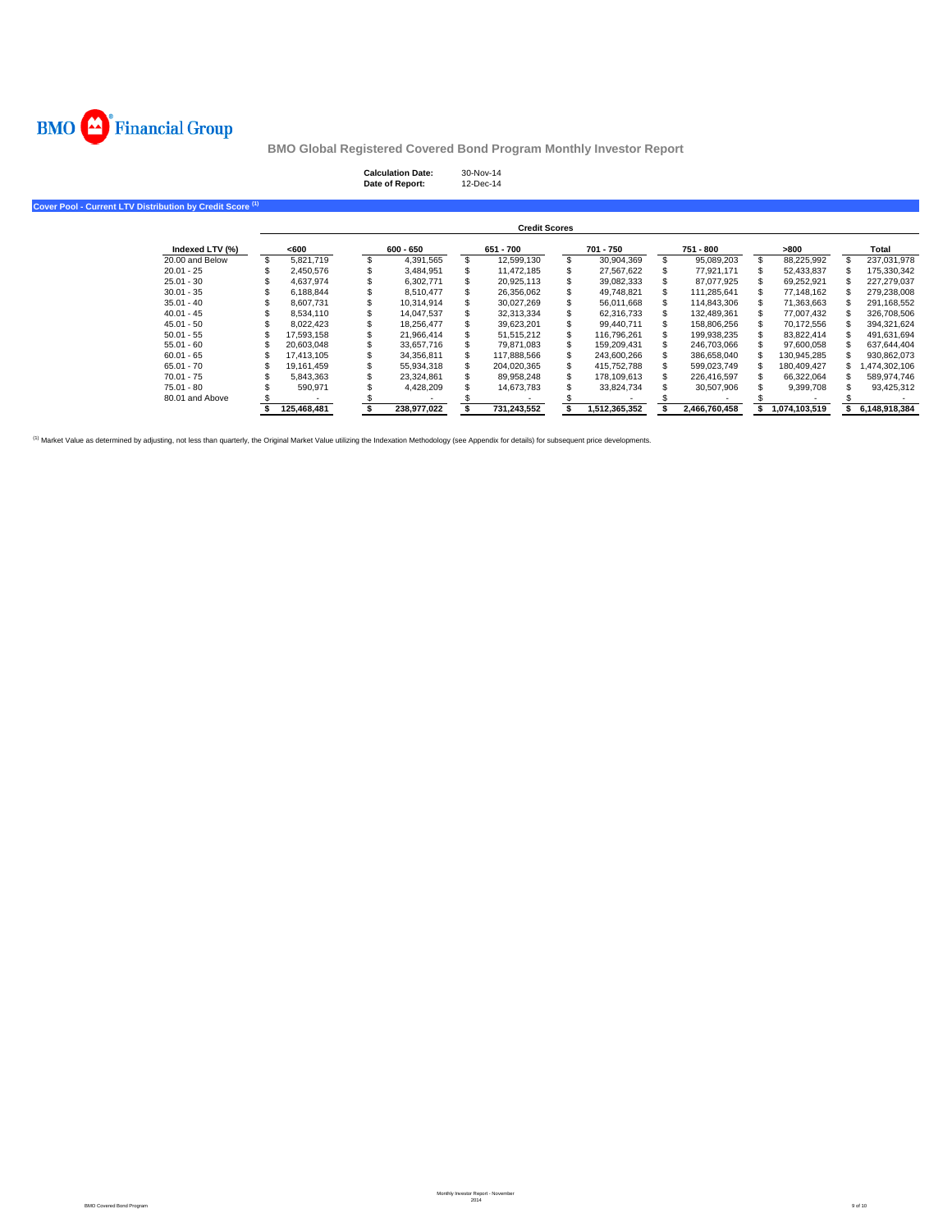

| <b>Calculation Date:</b> | 30-Nov-14 |
|--------------------------|-----------|
| Date of Report:          | 12-Dec-14 |

**Cover Pool - Current LTV Distribution by Credit Score (1)**

|                 |             |             | <b>Credit Scores</b> |               |               |               |               |
|-----------------|-------------|-------------|----------------------|---------------|---------------|---------------|---------------|
| Indexed LTV (%) | <600        | $600 - 650$ | 651 - 700            | 701 - 750     | 751 - 800     | >800          | Total         |
| 20.00 and Below | 5.821.719   | 4.391.565   | 12.599.130           | 30.904.369    | 95.089.203    | 88,225,992    | 237.031.978   |
| $20.01 - 25$    | 2.450.576   | 3.484.951   | 11.472.185           | 27.567.622    | 77.921.171    | 52.433.837    | 175.330.342   |
| $25.01 - 30$    | 4.637.974   | 6.302.771   | 20.925.113           | 39.082.333    | 87.077.925    | 69.252.921    | 227.279.037   |
| $30.01 - 35$    | 6.188.844   | 8.510.477   | 26.356.062           | 49.748.821    | 111.285.641   | 77.148.162    | 279.238.008   |
| $35.01 - 40$    | 8.607.731   | 10.314.914  | 30.027.269           | 56.011.668    | 114.843.306   | 71.363.663    | 291.168.552   |
| $40.01 - 45$    | 8.534.110   | 14.047.537  | 32.313.334           | 62.316.733    | 132.489.361   | 77.007.432    | 326,708,506   |
| $45.01 - 50$    | 8.022.423   | 18.256.477  | 39.623.201           | 99.440.711    | 158.806.256   | 70.172.556    | 394.321.624   |
| $50.01 - 55$    | 17.593.158  | 21.966.414  | 51.515.212           | 116.796.261   | 199.938.235   | 83.822.414    | 491.631.694   |
| $55.01 - 60$    | 20.603.048  | 33.657.716  | 79.871.083           | 159.209.431   | 246.703.066   | 97.600.058    | 637.644.404   |
| $60.01 - 65$    | 17.413.105  | 34.356.811  | 117.888.566          | 243.600.266   | 386.658.040   | 130.945.285   | 930.862.073   |
| $65.01 - 70$    | 19.161.459  | 55.934.318  | 204.020.365          | 415.752.788   | 599.023.749   | 180.409.427   | ,474,302,106  |
| $70.01 - 75$    | 5.843.363   | 23.324.861  | 89.958.248           | 178.109.613   | 226.416.597   | 66.322.064    | 589.974.746   |
| $75.01 - 80$    | 590.971     | 4.428.209   | 14.673.783           | 33.824.734    | 30.507.906    | 9,399,708     | 93,425,312    |
| 80.01 and Above |             |             |                      |               |               |               |               |
|                 | 125.468.481 | 238.977.022 | 731.243.552          | 1.512.365.352 | 2.466.760.458 | 1.074.103.519 | 6.148.918.384 |

<sup>(1)</sup> Market Value as determined by adjusting, not less than quarterly, the Original Market Value utilizing the Indexation Methodology (see Appendix for details) for subsequent price developments.